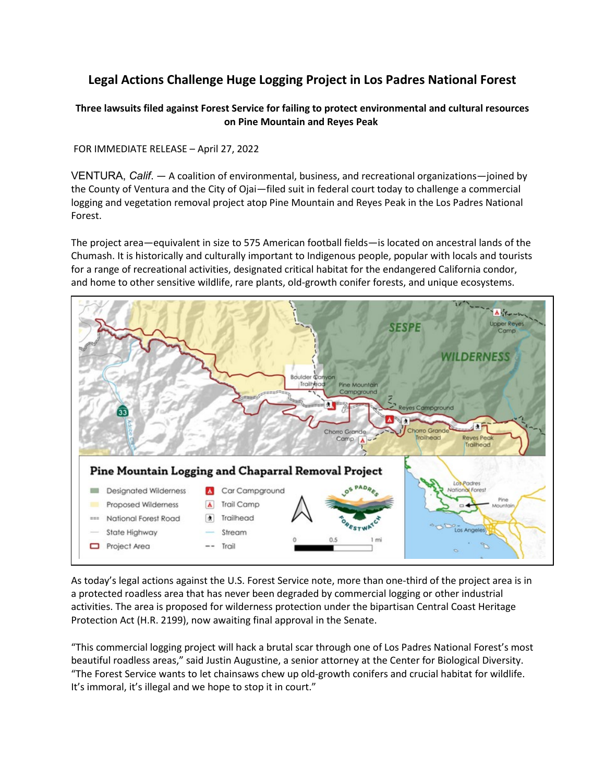## **Legal Actions Challenge Huge Logging Project in Los Padres National Forest**

## **Three lawsuits filed against Forest Service for failing to protect environmental and cultural resources on Pine Mountain and Reyes Peak**

FOR IMMEDIATE RELEASE – April 27, 2022

VENTURA, *Calif*. — A coalition of environmental, business, and recreational organizations—joined by the County of Ventura and the City of Ojai—filed suit in federal court today to challenge a commercial logging and vegetation removal project atop Pine Mountain and Reyes Peak in the Los Padres National Forest.

The project area—equivalent in size to 575 American football fields—is located on ancestral lands of the Chumash. It is historically and culturally important to Indigenous people, popular with locals and tourists for a range of recreational activities, designated critical habitat for the endangered California condor, and home to other sensitive wildlife, rare plants, old-growth conifer forests, and unique ecosystems.



As today's legal actions against the U.S. Forest Service note, more than one-third of the project area is in a protected roadless area that has never been degraded by commercial logging or other industrial activities. The area is proposed for wilderness protection under the bipartisan Central Coast Heritage Protection Act (H.R. 2199), now awaiting final approval in the Senate.

"This commercial logging project will hack a brutal scar through one of Los Padres National Forest's most beautiful roadless areas," said Justin Augustine, a senior attorney at the Center for Biological Diversity. "The Forest Service wants to let chainsaws chew up old-growth conifers and crucial habitat for wildlife. It's immoral, it's illegal and we hope to stop it in court."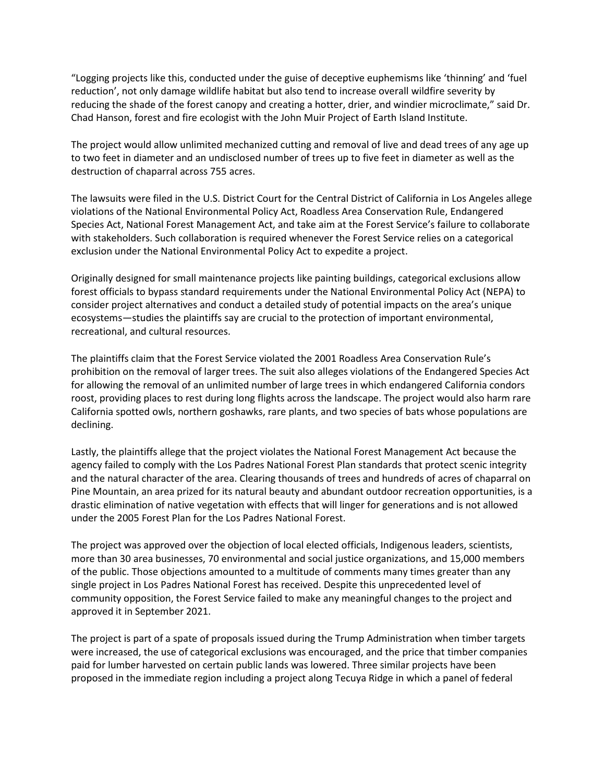"Logging projects like this, conducted under the guise of deceptive euphemisms like 'thinning' and 'fuel reduction', not only damage wildlife habitat but also tend to increase overall wildfire severity by reducing the shade of the forest canopy and creating a hotter, drier, and windier microclimate," said Dr. Chad Hanson, forest and fire ecologist with the John Muir Project of Earth Island Institute.

The project would allow unlimited mechanized cutting and removal of live and dead trees of any age up to two feet in diameter and an undisclosed number of trees up to five feet in diameter as well as the destruction of chaparral across 755 acres.

The lawsuits were filed in the U.S. District Court for the Central District of California in Los Angeles allege violations of the National Environmental Policy Act, Roadless Area Conservation Rule, Endangered Species Act, National Forest Management Act, and take aim at the Forest Service's failure to collaborate with stakeholders. Such collaboration is required whenever the Forest Service relies on a categorical exclusion under the National Environmental Policy Act to expedite a project.

Originally designed for small maintenance projects like painting buildings, categorical exclusions allow forest officials to bypass standard requirements under the National Environmental Policy Act (NEPA) to consider project alternatives and conduct a detailed study of potential impacts on the area's unique ecosystems—studies the plaintiffs say are crucial to the protection of important environmental, recreational, and cultural resources.

The plaintiffs claim that the Forest Service violated the 2001 Roadless Area Conservation Rule's prohibition on the removal of larger trees. The suit also alleges violations of the Endangered Species Act for allowing the removal of an unlimited number of large trees in which endangered California condors roost, providing places to rest during long flights across the landscape. The project would also harm rare California spotted owls, northern goshawks, rare plants, and two species of bats whose populations are declining.

Lastly, the plaintiffs allege that the project violates the National Forest Management Act because the agency failed to comply with the Los Padres National Forest Plan standards that protect scenic integrity and the natural character of the area. Clearing thousands of trees and hundreds of acres of chaparral on Pine Mountain, an area prized for its natural beauty and abundant outdoor recreation opportunities, is a drastic elimination of native vegetation with effects that will linger for generations and is not allowed under the 2005 Forest Plan for the Los Padres National Forest.

The project was approved over the objection of local elected officials, Indigenous leaders, scientists, more than 30 area businesses, 70 environmental and social justice organizations, and 15,000 members of the public. Those objections amounted to a multitude of comments many times greater than any single project in Los Padres National Forest has received. Despite this unprecedented level of community opposition, the Forest Service failed to make any meaningful changes to the project and approved it in September 2021.

The project is part of a spate of proposals issued during the Trump Administration when timber targets were increased, the use of categorical exclusions was encouraged, and the price that timber companies paid for lumber harvested on certain public lands was lowered. Three similar projects have been proposed in the immediate region including a project along Tecuya Ridge in which a panel of federal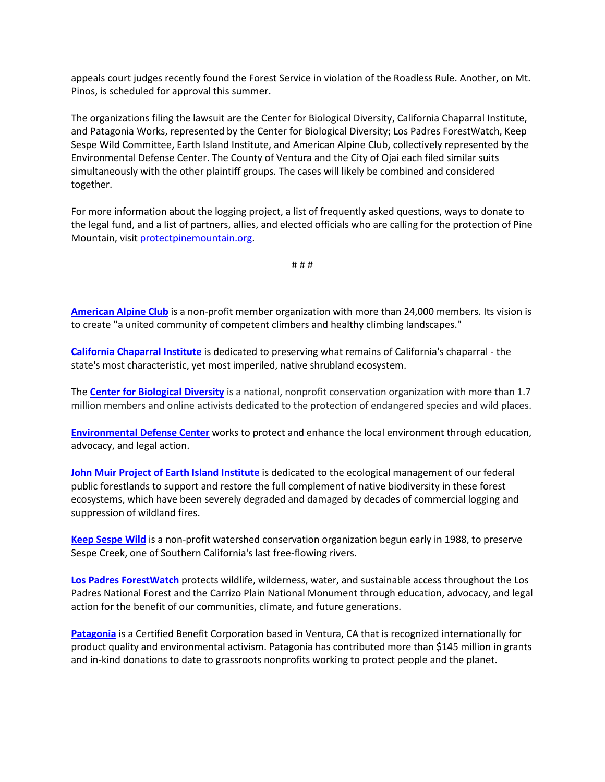appeals court judges recently found the Forest Service in violation of the Roadless Rule. Another, on Mt. Pinos, is scheduled for approval this summer.

The organizations filing the lawsuit are the Center for Biological Diversity, California Chaparral Institute, and Patagonia Works, represented by the Center for Biological Diversity; Los Padres ForestWatch, Keep Sespe Wild Committee, Earth Island Institute, and American Alpine Club, collectively represented by the Environmental Defense Center. The County of Ventura and the City of Ojai each filed similar suits simultaneously with the other plaintiff groups. The cases will likely be combined and considered together.

For more information about the logging project, a list of frequently asked questions, ways to donate to the legal fund, and a list of partners, allies, and elected officials who are calling for the protection of Pine Mountain, visit [protectpinemountain.org.](https://protectpinemountain.org/)

# # #

**[American Alpine Club](https://americanalpineclub.org/)** is a non-profit member organization with more than 24,000 members. Its vision is to create "a united community of competent climbers and healthy climbing landscapes."

**[California Chaparral Institute](https://californiachaparral.org/)** is dedicated to preserving what remains of California's chaparral - the state's most characteristic, yet most imperiled, native shrubland ecosystem.

The **[Center for Biological Diversity](https://www.biologicaldiversity.org/)** is a national, nonprofit conservation organization with more than 1.7 million members and online activists dedicated to the protection of endangered species and wild places.

**[Environmental Defense Center](https://www.environmentaldefensecenter.org/)** works to protect and enhance the local environment through education, advocacy, and legal action.

**John Muir Project [of Earth Island Institute](https://johnmuirproject.org/)** is dedicated to the ecological management of our federal public forestlands to support and restore the full complement of native biodiversity in these forest ecosystems, which have been severely degraded and damaged by decades of commercial logging and suppression of wildland fires.

**[Keep Sespe Wild](http://www.sespewild.org/)** is a non-profit watershed conservation organization begun early in 1988, to preserve Sespe Creek, one of Southern California's last free-flowing rivers.

**[Los Padres ForestWatch](https://lpfw.org/)** protects wildlife, wilderness, water, and sustainable access throughout the Los Padres National Forest and the Carrizo Plain National Monument through education, advocacy, and legal action for the benefit of our communities, climate, and future generations.

**[Patagonia](https://www.patagonia.com/home/)** is a Certified Benefit Corporation based in Ventura, CA that is recognized internationally for product quality and environmental activism. Patagonia has contributed more than \$145 million in grants and in-kind donations to date to grassroots nonprofits working to protect people and the planet.